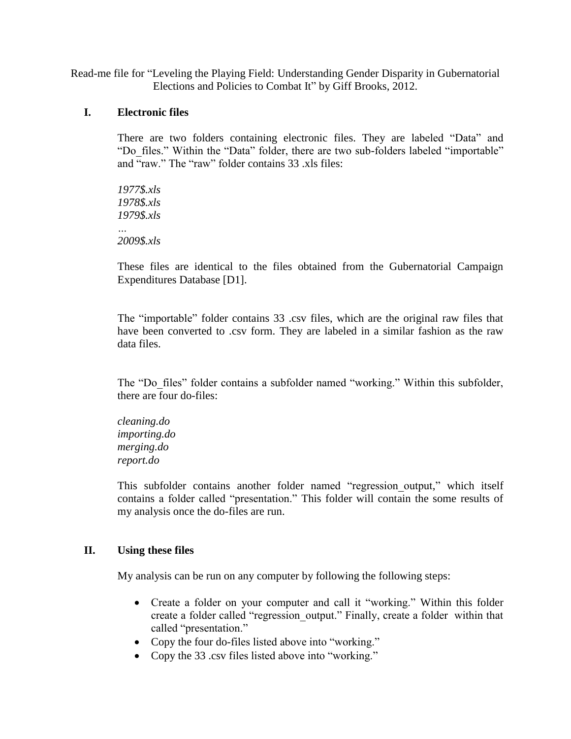Read-me file for "Leveling the Playing Field: Understanding Gender Disparity in Gubernatorial Elections and Policies to Combat It" by Giff Brooks, 2012.

## **I. Electronic files**

There are two folders containing electronic files. They are labeled "Data" and "Do\_files." Within the "Data" folder, there are two sub-folders labeled "importable" and "raw." The "raw" folder contains 33 .xls files:

*1977\$.xls 1978\$.xls 1979\$.xls … 2009\$.xls*

These files are identical to the files obtained from the Gubernatorial Campaign Expenditures Database [D1].

The "importable" folder contains 33 .csv files, which are the original raw files that have been converted to .csv form. They are labeled in a similar fashion as the raw data files.

The "Do\_files" folder contains a subfolder named "working." Within this subfolder, there are four do-files:

*cleaning.do importing.do merging.do report.do*

This subfolder contains another folder named "regression\_output," which itself contains a folder called "presentation." This folder will contain the some results of my analysis once the do-files are run.

## **II. Using these files**

My analysis can be run on any computer by following the following steps:

- Create a folder on your computer and call it "working." Within this folder create a folder called "regression\_output." Finally, create a folder within that called "presentation."
- Copy the four do-files listed above into "working."
- Copy the 33 .csv files listed above into "working."